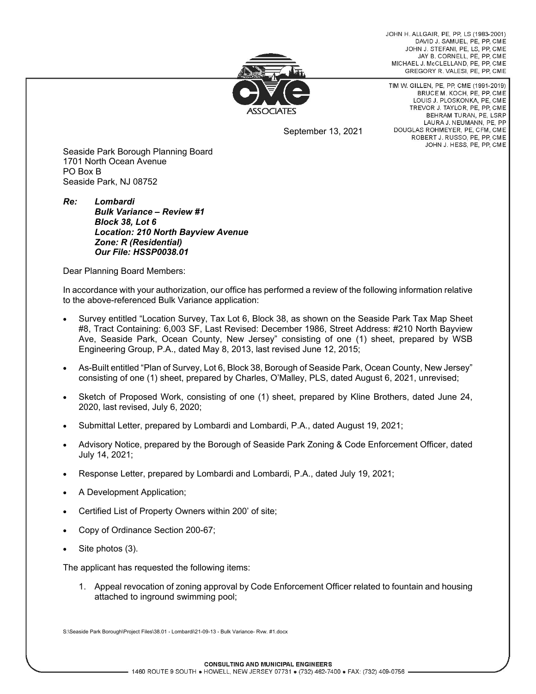JOHN H. ALLGAIR, PE, PP, LS (1983-2001) DAVID J. SAMUEL, PE, PP, CME JOHN J. STEFANI, PE, LS, PP, CME JAY B. CORNELL, PE, PP, CME MICHAEL J. McCLELLAND, PE. PP. CME GREGORY R. VALESI, PE, PP, CME



TIM W. GILLEN, PE, PP, CME (1991-2019) BRUCE M. KOCH, PE, PP, CME LOUIS J. PLOSKONKA, PE, CME TREVOR J. TAYLOR, PE, PP, CME BEHRAM TURAN, PE, LSRP LAURA J. NEUMANN, PE, PP DOUGLAS ROHMEYER, PE, CFM, CME ROBERT J. RUSSO, PE, PP, CME JOHN J. HESS, PE, PP, CME

September 13, 2021

Seaside Park Borough Planning Board 1701 North Ocean Avenue PO Box B Seaside Park, NJ 08752

*Re: Lombardi Bulk Variance – Review #1 Block 38, Lot 6 Location: 210 North Bayview Avenue Zone: R (Residential) Our File: HSSP0038.01* 

Dear Planning Board Members:

In accordance with your authorization, our office has performed a review of the following information relative to the above-referenced Bulk Variance application:

- Survey entitled "Location Survey, Tax Lot 6, Block 38, as shown on the Seaside Park Tax Map Sheet #8, Tract Containing: 6,003 SF, Last Revised: December 1986, Street Address: #210 North Bayview Ave, Seaside Park, Ocean County, New Jersey" consisting of one (1) sheet, prepared by WSB Engineering Group, P.A., dated May 8, 2013, last revised June 12, 2015;
- As-Built entitled "Plan of Survey, Lot 6, Block 38, Borough of Seaside Park, Ocean County, New Jersey" consisting of one (1) sheet, prepared by Charles, O'Malley, PLS, dated August 6, 2021, unrevised;
- Sketch of Proposed Work, consisting of one (1) sheet, prepared by Kline Brothers, dated June 24, 2020, last revised, July 6, 2020;
- Submittal Letter, prepared by Lombardi and Lombardi, P.A., dated August 19, 2021;
- Advisory Notice, prepared by the Borough of Seaside Park Zoning & Code Enforcement Officer, dated July 14, 2021;
- Response Letter, prepared by Lombardi and Lombardi, P.A., dated July 19, 2021;
- A Development Application;
- Certified List of Property Owners within 200' of site;
- Copy of Ordinance Section 200-67;
- Site photos (3).

The applicant has requested the following items:

1. Appeal revocation of zoning approval by Code Enforcement Officer related to fountain and housing attached to inground swimming pool;

S:\Seaside Park Borough\Project Files\38.01 - Lombardi\21-09-13 - Bulk Variance- Rvw. #1.docx